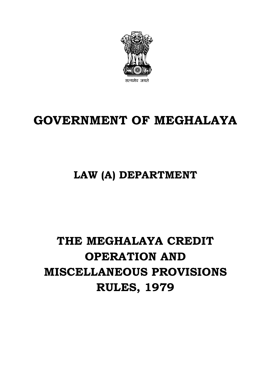

# **GOVERNMENT OF MEGHALAYA**

## **LAW (A) DEPARTMENT**

# **THE MEGHALAYA CREDIT OPERATION AND MISCELLANEOUS PROVISIONS RULES, 1979**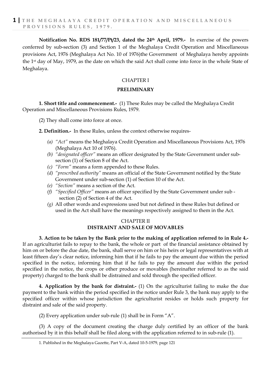**Notification No. RDS 181/77/Pt/23, dated the 24th April, 1979.-** In exercise of the powers conferred by sub-section (3) and Section 1 of the Meghalaya Credit Operation and Miscellaneous provisions Act, 1976 (Meghalaya Act No. 10 of 1976)the Government of Meghalaya hereby appoints the 1st day of May, 1979, as the date on which the said Act shall come into force in the whole State of Meghalaya.

#### CHAPTER I

#### **PRELIMINARY**

**1. Short title and commencement.-** (1) These Rules may be called the Meghalaya Credit Operation and Miscellaneous Provisions Rules, 1979.

(2) They shall come into force at once.

**2. Definition.-** In these Rules, unless the context otherwise requires-

- *(a) "Act"* means the Meghalaya Credit Operation and Miscellaneous Provisions Act, 1976 (Meghalaya Act 10 of 1976).
- *(b) "designated officer"* means an officer designated by the State Government under subsection (1) of Section 8 of the Act.
- *(c) "Form"* means a form appended to these Rules.
- *(d) "prescribed authority"* means an official of the State Government notified by the State Government under sub-section (1) of Section 10 of the Act.
- *(e) "Section"* means a section of the Act.
- *(f) "Specified Officer"* means an officer specified by the State Government under sub section (2) of Section 4 of the Act.
- *(g)* All other words and expressions used but not defined in these Rules but defined or used in the Act shall have the meanings respectively assigned to them in the Act.

#### CHAPTER II **DISTRAINT AND SALE OF MOVABLES**

**3. Action to be taken by the Bank prior to the making of application referred to in Rule 4.-** If an agriculturist fails to repay to the bank, the whole or part of the financial assistance obtained by him on or before the due date, the bank, shall serve on him or his heirs or legal representatives with at least fifteen day's clear notice, informing him that if he fails to pay the amount due within the period specified in the notice, informing him that if he fails to pay the amount due within the period specified in the notice, the crops or other produce or movables (hereinafter referred to as the said property) charged to the bank shall be distrained and sold through the specified officer.

**4. Application by the bank for distraint.-** (1) On the agriculturist failing to make the due payment to the bank within the period specified in the notice under Rule 3, the bank may apply to the specified officer within whose jurisdiction the agriculturist resides or holds such property for distraint and sale of the said property.

(2) Every application under sub-rule (1) shall be in Form "A".

(3) A copy of the document creating the charge duly certified by an officer of the bank authorised by it in this behalf shall be filed along with the application referred to in sub-rule (1).

<sup>1.</sup> Published in the Meghalaya Gazette, Part V-A, dated 10-5-1979, page 121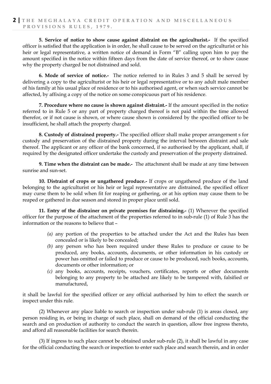**5. Service of notice to show cause against distraint on the agriculturist.-** If the specified officer is satisfied that the application is in order, he shall cause to be served on the agriculturist or his heir or legal representative, a written notice of demand in Form "B" calling upon him to pay the amount specified in the notice within fifteen days from the date of service thereof, or to show cause why the property charged be not distrained and sold.

**6. Mode of service of notice.-** The notice referred to in Rules 3 and 5 shall be served by delivering a copy to the agriculturist or his heir or legal representative or to any adult male member of his family at his usual place of residence or to his authorised agent, or when such service cannot be affected, by affixing a copy of the notice on some conspicuous part of his residence.

**7. Procedure where no cause is shown against distraint.-** If the amount specified in the notice referred to in Rule 5 or any part of property charged thereof is not paid within the time allowed therefor, or if not cause is shown, or where cause shown is considered by the specified officer to be insufficient, he shall attach the property charged.

**8. Custody of distrained property.-** The specified officer shall make proper arrangement s for custody and preservation of the distrained property during the interval between distraint and sale thereof. The applicant or any officer of the bank concerned, if so authorised by the applicant, shall, if required by the designated officer undertake the custody and preservation of the property distrained.

**9. Time when the distraint can be made.-** The attachment shall be made at any time between sunrise and sun-set.

**10. Distraint of crops or ungathered produce.-** If crops or ungathered produce of the land belonging to the agriculturist or his heir or legal representative are distrained, the specified officer may curse them to be sold when fit for reaping or gathering, or at his option may cause them to be reaped or gathered in due season and stored in proper place until sold.

**11. Entry of the distrainer on private premises for distraining.-** (1) Wherever the specified officer for the purpose of the attachment of the properties referred to in sub-rule (1) of Rule 3 has the information or the reasons to believe that –

- *(a)* any portion of the properties to be attached under the Act and the Rules has been concealed or is likely to be concealed;
- *(b)* any person who has been required under these Rules to produce or cause to be produced, any books, accounts, documents, or other information in his custody or power has omitted or failed to produce or cause to be produced, such books, accounts, documents or other information; or
- *(c)* any books, accounts, receipts, vouchers, certificates, reports or other documents belonging to any property to be attached are likely to be tampered with, falsified or manufactured,

it shall be lawful for the specified officer or any official authorised by him to effect the search or inspect under this rule.

(2) Whenever any place liable to search or inspection under sub-rule (1) is areas closed, any person residing in, or being in charge of such place, shall on demand of the official conducting the search and on production of authority to conduct the search in question, allow free ingress thereto, and afford all reasonable facilities for search therein.

(3) If ingress to such place cannot be obtained under sub-rule (2), it shall be lawful in any case for the official conducting the search or inspection to enter such place and search therein, and in order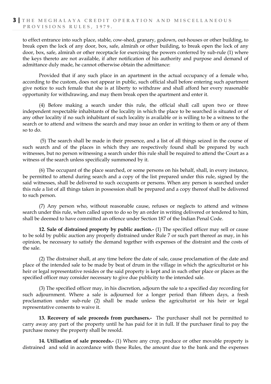to effect entrance into such place, stable, cow-shed, granary, godown, out-houses or other building, to break open the lock of any door, box, safe, almirah or other building, to break open the lock of any door, box, safe, almirah or other receptacle for exercising the powers conferred by sub-rule (1) where the keys thereto are not available, if after notification of his authority and purpose and demand of admittance duly made, he cannot otherwise obtain the admittance:

Provided that if any such place in an apartment in the actual occupancy of a female who, according to the custom, does not appear in public, such official shall before entering such apartment give notice to such female that she is at liberty to withdraw and shall afford her every reasonable opportunity for withdrawing, and may them break open the apartment and enter it.

(4) Before making a search under this rule, the official shall call upon two or three independent respectable inhabitants of the locality in which the place to be searched is situated or of any other locality if no such inhabitant of such locality is available or is willing to be a witness to the search or to attend and witness the search and may issue an order in writing to them or any of them so to do.

(5) The search shall be made in their presence, and a list of all things seized in the course of such search and of the places in which they are respectively found shall be prepared by such witnesses, but no person witnessing a search under this rule shall be required to attend the Court as a witness of the search unless specifically summoned by it.

(6) The occupant of the place searched, or some persons on his behalf, shall, in every instance, be permitted to attend during search and a copy of the list prepared under this rule, signed by the said witnesses, shall be delivered to such occupants or persons. When any person is searched under this rule a list of all things taken in possession shall be prepared and a copy thereof shall be delivered to such person.

(7) Any person who, without reasonable cause, refuses or neglects to attend and witness search under this rule, when called upon to do so by an order in writing delivered or tendered to him, shall be deemed to have committed an offence under Section 187 of the Indian Penal Code.

**12. Sale of distrained property by public auction.-** (1) The specified officer may sell or cause to be sold by public auction any properly distrained under Rule 7 or such part thereof as may, in his opinion, be necessary to satisfy the demand together with expenses of the distraint and the costs of the sale.

(2) The distrainer shall, at any time before the date of sale, cause proclamation of the date and place of the intended sale to be made by beat of drum in the village in which the agriculturist or his heir or legal representative resides or the said property is kept and in such other place or places as the specified officer may consider necessary to give due publicity to the intended sale.

(3) The specified officer may, in his discretion, adjourn the sale to a specified day recording for such adjournment. Where a sale is adjourned for a longer period than fifteen days, a fresh proclamation under sub-rule (2) shall be made unless the agriculturist or his heir or legal representative consents to waive it.

**13. Recovery of sale proceeds from purchasers.-** The purchaser shall not be permitted to carry away any part of the property until he has paid for it in full. If the purchaser final to pay the purchase money the property shall be resold.

**14. Utilisation of sale proceeds.-** (1) Where any crop, produce or other movable property is distrained and sold in accordance with these Rules, the amount due to the bank and the expenses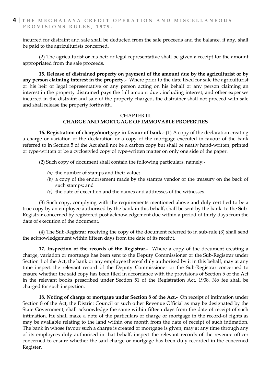incurred for distraint and sale shall be deducted from the sale proceeds and the balance, if any, shall be paid to the agriculturists concerned.

(2) The agriculturist or his heir or legal representative shall be given a receipt for the amount appropriated from the sale proceeds.

**15. Release of distrained property on payment of the amount due by the agriculturist or by any person claiming interest in the property.-** Where prior to the date fixed for sale the agriculturist or his heir or legal representative or any person acting on his behalf or any person claiming an interest in the property distrained pays the full amount due , including interest, and other expenses incurred in the distraint and sale of the property charged, the distrainer shall not proceed with sale and shall release the property forthwith.

### CHAPTER III

**CHARGE AND MORTGAGE OF IMMOVABLE PROPERTIES**

**16. Registration of charge/mortgage in favour of bank.-** (1) A copy of the declaration creating a charge or variation of the declaration or a copy of the mortgage executed in favour of the bank referred to in Section 5 of the Act shall not be a carbon copy but shall be neatly hand-written, printed or type-written or be a cyclostyled copy of type-written matter on only one side of the paper.

(2) Such copy of document shall contain the following particulars, namely:-

- *(a)* the number of stamps and their value;
- *(b)* a copy of the endorsement made by the stamps vendor or the treasury on the back of such stamps; and
- *(c)* the date of execution and the names and addresses of the witnesses.

(3) Such copy, complying with the requirements mentioned above and duly certified to be a true copy by an employee authorised by the bank in this behalf, shall be sent by the bank to the Sub-Registrar concerned by registered post acknowledgement due within a period of thirty days from the date of execution of the document.

(4) The Sub-Registrar receiving the copy of the document referred to in sub-rule (3) shall send the acknowledgement within fifteen days from the date of its receipt.

**17. Inspection of the records of the Registrar.-** Where a copy of the document creating a charge, variation or mortgage has been sent to the Deputy Commissioner or the Sub-Registrar under Section 1 of the Act, the bank or any employee thereof duly authorised by it in this behalf, may at any time inspect the relevant record of the Deputy Commissioner or the Sub-Registrar concerned to ensure whether the said copy has been filed in accordance with the provisions of Section 5 of the Act in the relevant books prescribed under Section 51 of the Registration Act, 1908, No fee shall be charged for such inspection.

**18. Noting of charge or mortgage under Section 8 of the Act.-** On receipt of intimation under Section 8 of the Act, the District Council or such other Revenue Official as may be designated by the State Government, shall acknowledge the same within fifteen days from the date of receipt of such intimation. He shall make a note of the particulars of charge or mortgage in the record-of rights as may be available relating to the land within one month from the date of receipt of such intimation. The bank in whose favour such a charge is created or mortgage is given, may at any time through any of its employees duly authorised in that behalf, inspect the relevant records of the revenue officer concerned to ensure whether the said charge or mortgage has been duly recorded in the concerned Register.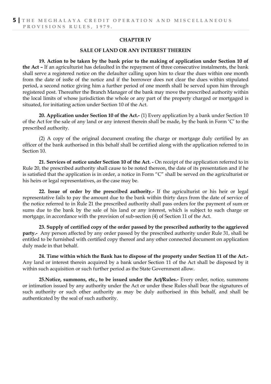#### **CHAPTER IV**

#### **SALE OF LAND OR ANY INTEREST THEREIN**

**19. Action to be taken by the bank prior to the making of application under Section 10 of the Act –** If an agriculturist has defaulted in the repayment of three consecutive instalments, the bank shall serve a registered notice on the defaulter calling upon him to clear the dues within one month from the date of iss8e of the notice and if the borrower does not clear the dues within stipulated period, a second notice giving him a further period of one month shall be served upon him through registered post. Thereafter the Branch Manager of the bank may move the prescribed authority within the local limits of whose jurisdiction the whole or any part of the property charged or mortgaged is situated, for initiating action under Section 10 of the Act.

**20. Application under Section 10 of the Act.-** (1) Every application by a bank under Section 10 of the Act for the sale of any land or any interest therein shall be made, by the bank in Form 'C' to the prescribed authority.

(2) A copy of the original document creating the charge or mortgage duly certified by an officer of the bank authorised in this behalf shall be certified along with the application referred to in Section 10.

**21. Services of notice under Section 10 of the Act. -** On receipt of the application referred to in Rule 20, the prescribed authority shall cause to be noted thereon, the date of its presentation and if he is satisfied that the application is in order, a notice in Form "C" shall be served on the agriculturist or his heirs or legal representatives, as the case may be.

**22. Issue of order by the prescribed authority.-** If the agriculturist or his heir or legal representative fails to pay the amount due to the bank within thirty days from the date of service of the notice referred to in Rule 21 the prescribed authority shall pass orders for the payment of sum or sums due to the bank by the sale of his land or any interest, which is subject to such charge or mortgage, in accordance with the provision of sub-section (4) of Section 11 of the Act.

**23. Supply of certified copy of the order passed by the prescribed authority to the aggrieved party.-** Any person affected by any order passed by the prescribed authority under Rule 31, shall be entitled to be furnished with certified copy thereof and any other connected document on application duly made in that behalf.

**24. Time within which the Bank has to dispose of the property under Section 11 of the Act.-** Any land or interest therein acquired by a bank under Section 11 of the Act shall be disposed by it within such acquisition or such further period as the State Government allow.

**25.Notice, summons, etc., to be issued under the Act/Rules.-** Every order, notice, summons or intimation issued by any authority under the Act or under these Rules shall bear the signatures of such authority or such other authority as may be duly authorised in this behalf, and shall be authenticated by the seal of such authority.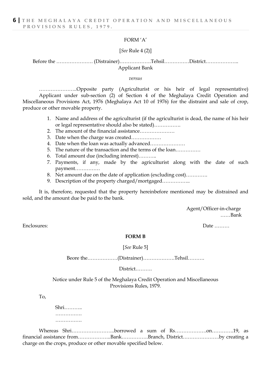#### FORM 'A'

#### [*See* Rule 4 (2)]

Before the …………………. (Distrainer)……………….Tehsil……………District……………….. Applicant Bank

#### *versus*

…………………..Opposite party (Agriculturist or his heir of legal representative) Applicant under sub-section (2) of Section 4 of the Meghalaya Credit Operation and Miscellaneous Provisions Act, 1976 (Meghalaya Act 10 of 1976) for the distraint and sale of crop, produce or other movable property.

- 1. Name and address of the agriculturist (if the agriculturist is dead, the name of his heir or legal representative should also be stated)…………….
- 2. The amount of the financial assistance…………………
- 3. Date when the charge was created………………
- 4. Date when the loan was actually advanced…………………
- 5. The nature of the transaction and the terms of the loan……………
- 6. Total amount due (including interest)………..
- 7. Payments, if any, made by the agriculturist along with the date of such payment……………
- 8. Net amount due on the date of application (excluding cost)………….
- 9. Description of the property charged/mortgaged.................

It is, therefore, requested that the property hereinbefore mentioned may be distrained and sold, and the amount due be paid to the bank.

> Agent/Officer-in-charge ……Bank

Enclosures: Date ………

#### **FORM B**

#### [*See* Rule 5]

Beore the………………(Distrainer)……………….Tehsil……….

District……….

Notice under Rule 5 of the Meghalaya Credit Operation and Miscellaneous Provisions Rules, 1979.

To,

Shri……….. …………… ………………

Whereas Shri……………………..borrowed a sum of Rs……………….on………….19, as financial assistance from………………..Bank…………….Branch, District………………….by creating a charge on the crops, produce or other movable specified below.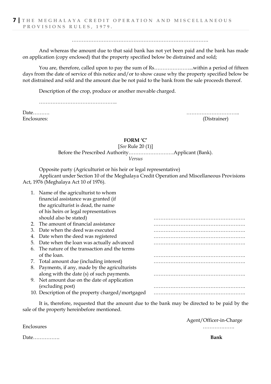……………………………………………………………………….

And whereas the amount due to that said bank has not yet been paid and the bank has made on application (copy enclosed) that the property specified below be distrained and sold;

You are, therefore, called upon to pay the sum of Rs…………………...within a period of fifteen days from the date of service of this notice and/or to show cause why the property specified below be not distrained and sold and the amount due be not paid to the bank from the sale proceeds thereof.

Description of the crop, produce or another movable charged.

…………………………………………………

Date………. ………………………….. Enclosures: (Distrainer)

#### **FORM 'C'**

[*See* Rule 20 (1)]

Before the Prescribed Authority………………………Applicant (Bank).

*Versus*

Opposite party (Agriculturist or his heir or legal representative)

Applicant under Section 10 of the Meghalaya Credit Operation and Miscellaneous Provisions Act, 1976 (Meghalaya Act 10 of 1976).

| 1. Name of the agriculturist to whom               |  |
|----------------------------------------------------|--|
| financial assistance was granted (if               |  |
| the agriculturist is dead, the name                |  |
| of his heirs or legal representatives              |  |
| should also be stated)                             |  |
| The amount of financial assistance<br>2.           |  |
| Date when the deed was executed<br>З.              |  |
| Date when the deed was registered<br>4.            |  |
| Date when the loan was actually advanced<br>5.     |  |
| The nature of the transaction and the terms<br>6.  |  |
| of the loan.                                       |  |
| 7. Total amount due (including interest)           |  |
| Payments, if any, made by the agriculturists<br>8. |  |
| along with the date (s) of such payments.          |  |
| 9. Net amount due on the date of application       |  |
| (excluding post)                                   |  |
| 10. Description of the property charged/mortgaged  |  |

It is, therefore, requested that the amount due to the bank may be directed to be paid by the sale of the property hereinbefore mentioned.

Agent/Officer-in-Charge

Enclosures ……………….

Date……………. **Bank**